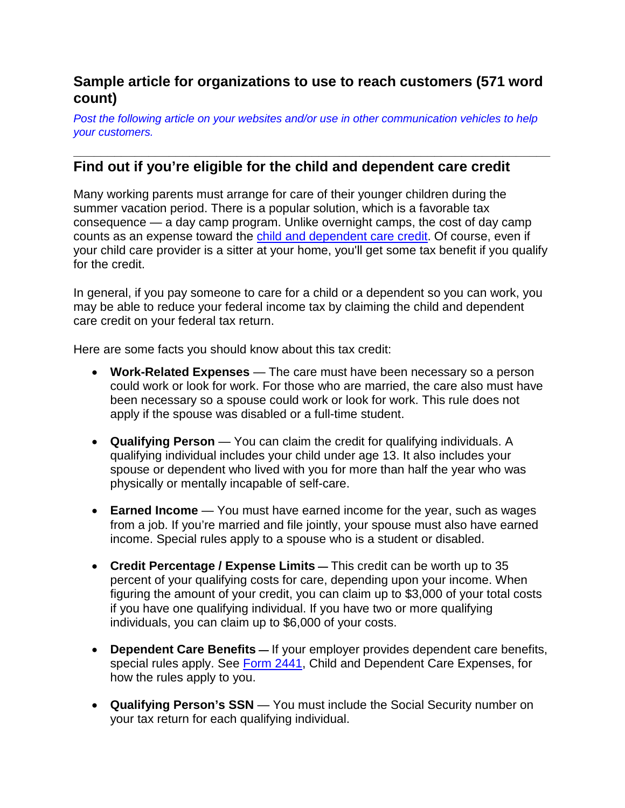## **Sample article for organizations to use to reach customers (571 word count)**

*Post the following article on your websites and/or use in other communication vehicles to help your customers.*

## **\_\_\_\_\_\_\_\_\_\_\_\_\_\_\_\_\_\_\_\_\_\_\_\_\_\_\_\_\_\_\_\_\_\_\_\_\_\_\_\_\_\_\_\_\_\_\_\_\_\_\_\_\_\_\_\_\_\_\_\_\_\_\_\_\_\_\_\_\_\_ Find out if you're eligible for the child and dependent care credit**

Many working parents must arrange for care of their younger children during the summer vacation period. There is a popular solution, which is a favorable tax consequence — a day camp program. Unlike overnight camps, the cost of day camp counts as an expense toward the [child and dependent care credit.](https://www.irs.gov/credits-deductions/individuals/child-and-dependent-care-credit) Of course, even if your child care provider is a sitter at your home, you'll get some tax benefit if you qualify for the credit.

In general, if you pay someone to care for a child or a dependent so you can work, you may be able to reduce your federal income tax by claiming the child and dependent care credit on your federal tax return.

Here are some facts you should know about this tax credit:

- **Work-Related Expenses** The care must have been necessary so a person could work or look for work. For those who are married, the care also must have been necessary so a spouse could work or look for work. This rule does not apply if the spouse was disabled or a full-time student.
- **Qualifying Person** You can claim the credit for qualifying individuals. A qualifying individual includes your child under age 13. It also includes your spouse or dependent who lived with you for more than half the year who was physically or mentally incapable of self-care.
- **Earned Income** You must have earned income for the year, such as wages from a job. If you're married and file jointly, your spouse must also have earned income. Special rules apply to a spouse who is a student or disabled.
- **Credit Percentage / Expense Limits —** This credit can be worth up to 35 percent of your qualifying costs for care, depending upon your income. When figuring the amount of your credit, you can claim up to \$3,000 of your total costs if you have one qualifying individual. If you have two or more qualifying individuals, you can claim up to \$6,000 of your costs.
- **Dependent Care Benefits —** If your employer provides dependent care benefits, special rules apply. See [Form 2441,](https://www.irs.gov/uac/about-form-2441) Child and Dependent Care Expenses, for how the rules apply to you.
- **Qualifying Person's SSN** You must include the Social Security number on your tax return for each qualifying individual.